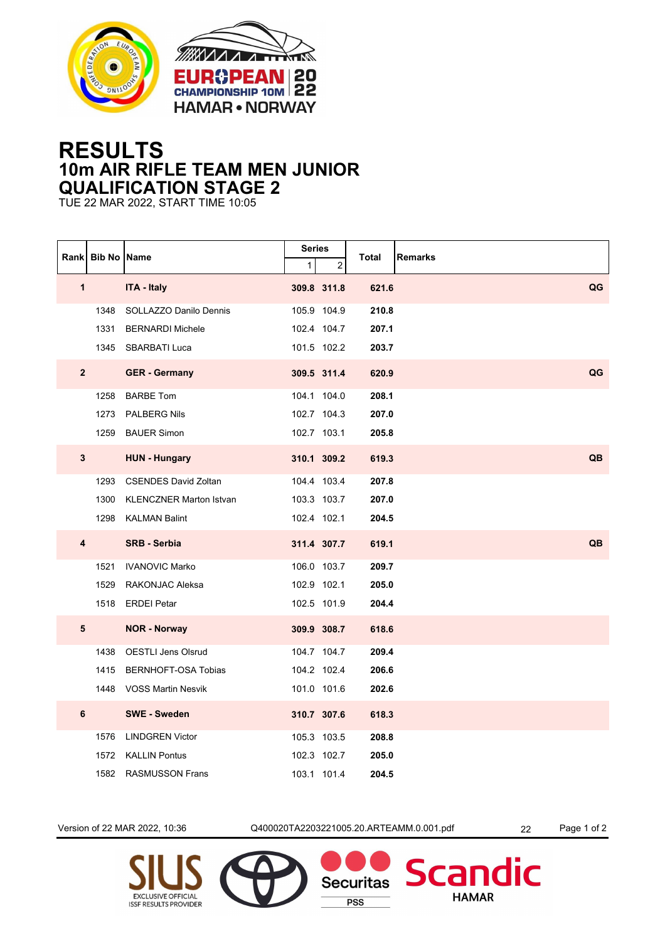



## **RESULTS 10m AIR RIFLE TEAM MEN JUNIOR QUALIFICATION STAGE 2**

TUE 22 MAR 2022, START TIME 10:05

|                         | Rank Bib No Name |                                | <b>Series</b><br>$\mathbf{1}$ | 2           | <b>Total</b> | <b>Remarks</b> |
|-------------------------|------------------|--------------------------------|-------------------------------|-------------|--------------|----------------|
| $\mathbf{1}$            |                  | <b>ITA - Italy</b>             |                               | 309.8 311.8 | 621.6        | QG             |
|                         |                  |                                |                               |             |              |                |
|                         | 1348             | SOLLAZZO Danilo Dennis         |                               | 105.9 104.9 | 210.8        |                |
|                         | 1331             | <b>BERNARDI Michele</b>        |                               | 102.4 104.7 | 207.1        |                |
|                         |                  | 1345 SBARBATI Luca             |                               | 101.5 102.2 | 203.7        |                |
| $\overline{2}$          |                  | <b>GER</b> - Germany           |                               | 309.5 311.4 | 620.9        | QG             |
|                         | 1258             | <b>BARBE Tom</b>               |                               | 104.1 104.0 | 208.1        |                |
|                         | 1273             | <b>PALBERG Nils</b>            |                               | 102.7 104.3 | 207.0        |                |
|                         |                  | 1259 BAUER Simon               |                               | 102.7 103.1 | 205.8        |                |
| 3                       |                  | <b>HUN - Hungary</b>           |                               | 310.1 309.2 | 619.3        | QB             |
|                         | 1293             | <b>CSENDES David Zoltan</b>    |                               | 104.4 103.4 | 207.8        |                |
|                         | 1300             | <b>KLENCZNER Marton Istvan</b> |                               | 103.3 103.7 | 207.0        |                |
|                         |                  | 1298 KALMAN Balint             |                               | 102.4 102.1 | 204.5        |                |
| $\overline{\mathbf{4}}$ |                  | <b>SRB - Serbia</b>            |                               | 311.4 307.7 | 619.1        | QB             |
|                         | 1521             | <b>IVANOVIC Marko</b>          |                               | 106.0 103.7 | 209.7        |                |
|                         | 1529             | RAKONJAC Aleksa                |                               | 102.9 102.1 | 205.0        |                |
|                         |                  | 1518 ERDEI Petar               |                               | 102.5 101.9 | 204.4        |                |
| 5                       |                  | <b>NOR - Norway</b>            |                               | 309.9 308.7 | 618.6        |                |
|                         | 1438             | <b>OESTLI Jens Olsrud</b>      |                               | 104.7 104.7 | 209.4        |                |
|                         | 1415             | <b>BERNHOFT-OSA Tobias</b>     |                               | 104.2 102.4 | 206.6        |                |
|                         |                  | 1448 VOSS Martin Nesvik        |                               | 101.0 101.6 | 202.6        |                |
| $6\phantom{a}$          |                  | <b>SWE - Sweden</b>            |                               | 310.7 307.6 | 618.3        |                |
|                         | 1576             | <b>LINDGREN Victor</b>         |                               | 105.3 103.5 | 208.8        |                |
|                         | 1572             | <b>KALLIN Pontus</b>           |                               | 102.3 102.7 | 205.0        |                |
|                         |                  | 1582 RASMUSSON Frans           |                               | 103.1 101.4 | 204.5        |                |

Version of 22 MAR 2022, 10:36 Q400020TA2203221005.20.ARTEAMM.0.001.pdf 22 Page 1 of 2

**Securitas** 

**PSS** 

dic

**Scan** 

**HAMAR**